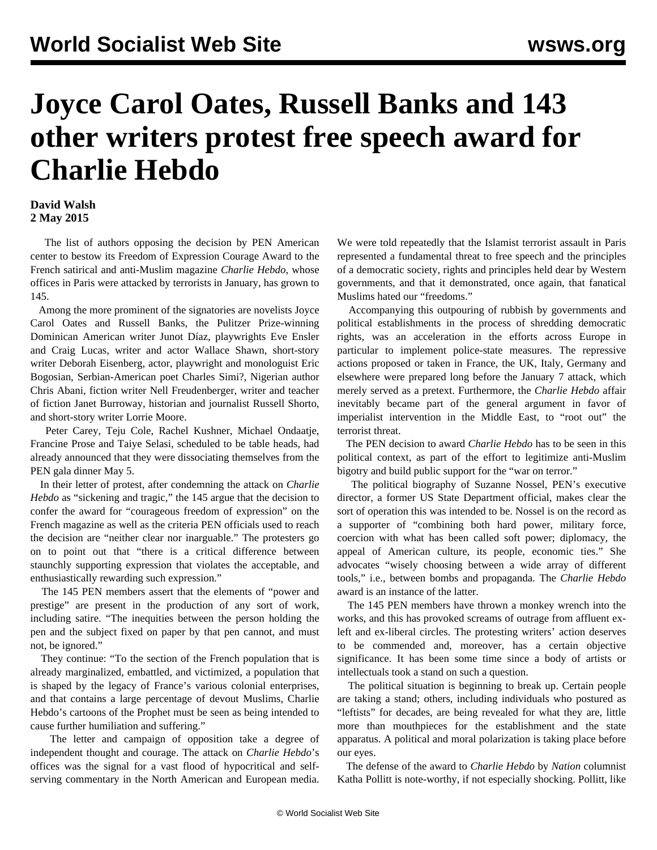## **Joyce Carol Oates, Russell Banks and 143 other writers protest free speech award for Charlie Hebdo**

## **David Walsh 2 May 2015**

 The list of authors opposing the decision by PEN American center to bestow its Freedom of Expression Courage Award to the French satirical and anti-Muslim magazine *Charlie Hebdo*, whose offices in Paris were attacked by terrorists in January, has grown to 145.

 Among the more prominent of the signatories are novelists Joyce Carol Oates and Russell Banks, the Pulitzer Prize-winning Dominican American writer Junot Díaz, playwrights Eve Ensler and Craig Lucas, writer and actor Wallace Shawn, short-story writer Deborah Eisenberg, actor, playwright and monologuist Eric Bogosian, Serbian-American poet Charles Simi?, Nigerian author Chris Abani, fiction writer Nell Freudenberger, writer and teacher of fiction Janet Burroway, historian and journalist Russell Shorto, and short-story writer Lorrie Moore.

 Peter Carey, Teju Cole, Rachel Kushner, Michael Ondaatje, Francine Prose and Taiye Selasi, scheduled to be table heads, had already announced that they were dissociating themselves from the PEN gala dinner May 5.

 In their letter of protest, after condemning the attack on *Charlie Hebdo* as "sickening and tragic," the 145 argue that the decision to confer the award for "courageous freedom of expression" on the French magazine as well as the criteria PEN officials used to reach the decision are "neither clear nor inarguable." The protesters go on to point out that "there is a critical difference between staunchly supporting expression that violates the acceptable, and enthusiastically rewarding such expression."

 The 145 PEN members assert that the elements of "power and prestige" are present in the production of any sort of work, including satire. "The inequities between the person holding the pen and the subject fixed on paper by that pen cannot, and must not, be ignored."

 They continue: "To the section of the French population that is already marginalized, embattled, and victimized, a population that is shaped by the legacy of France's various colonial enterprises, and that contains a large percentage of devout Muslims, Charlie Hebdo's cartoons of the Prophet must be seen as being intended to cause further humiliation and suffering."

 The letter and campaign of opposition take a degree of independent thought and courage. The attack on *Charlie Hebdo*'s offices was the signal for a vast flood of hypocritical and selfserving commentary in the North American and European media.

We were told repeatedly that the Islamist terrorist assault in Paris represented a fundamental threat to free speech and the principles of a democratic society, rights and principles held dear by Western governments, and that it demonstrated, once again, that fanatical Muslims hated our "freedoms."

 Accompanying this outpouring of rubbish by governments and political establishments in the process of shredding democratic rights, was an acceleration in the efforts across Europe in particular to implement police-state measures. The repressive actions proposed or taken in France, the UK, Italy, Germany and elsewhere were prepared long before the January 7 attack, which merely served as a pretext. Furthermore, the *Charlie Hebdo* affair inevitably became part of the general argument in favor of imperialist intervention in the Middle East, to "root out" the terrorist threat.

 The PEN decision to award *Charlie Hebdo* has to be seen in this political context, as part of the effort to legitimize anti-Muslim bigotry and build public support for the "war on terror."

 The political biography of Suzanne Nossel, PEN's executive director, a former US State Department official, makes clear the sort of operation this was intended to be. Nossel is on the record as a supporter of "combining both hard power, military force, coercion with what has been called soft power; diplomacy, the appeal of American culture, its people, economic ties." She advocates "wisely choosing between a wide array of different tools," i.e., between bombs and propaganda. The *Charlie Hebdo* award is an instance of the latter.

 The 145 PEN members have thrown a monkey wrench into the works, and this has provoked screams of outrage from affluent exleft and ex-liberal circles. The protesting writers' action deserves to be commended and, moreover, has a certain objective significance. It has been some time since a body of artists or intellectuals took a stand on such a question.

 The political situation is beginning to break up. Certain people are taking a stand; others, including individuals who postured as "leftists" for decades, are being revealed for what they are, little more than mouthpieces for the establishment and the state apparatus. A political and moral polarization is taking place before our eyes.

 The defense of the award to *Charlie Hebdo* by *Nation* columnist Katha Pollitt is note-worthy, if not especially shocking. Pollitt, like